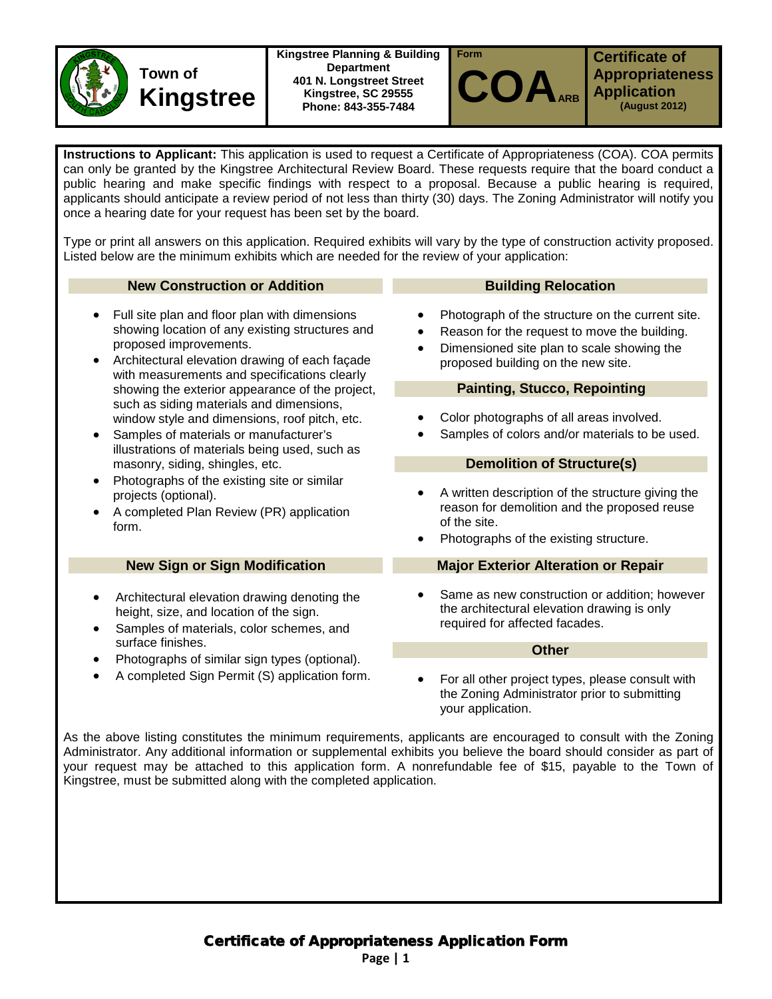

**Town of** 

**Kingstree**



**Certificate of Appropriateness Application (August 2012)**

**Instructions to Applicant:** This application is used to request a Certificate of Appropriateness (COA). COA permits can only be granted by the Kingstree Architectural Review Board. These requests require that the board conduct a public hearing and make specific findings with respect to a proposal. Because a public hearing is required, applicants should anticipate a review period of not less than thirty (30) days. The Zoning Administrator will notify you once a hearing date for your request has been set by the board.

Type or print all answers on this application. Required exhibits will vary by the type of construction activity proposed. Listed below are the minimum exhibits which are needed for the review of your application:

| <b>New Construction or Addition</b>                                                                                                                                                                                                                                                                                                                                                                                                                                                                                                                                                                                                                                                         | <b>Building Relocation</b>                                                                                                                                                                                     |
|---------------------------------------------------------------------------------------------------------------------------------------------------------------------------------------------------------------------------------------------------------------------------------------------------------------------------------------------------------------------------------------------------------------------------------------------------------------------------------------------------------------------------------------------------------------------------------------------------------------------------------------------------------------------------------------------|----------------------------------------------------------------------------------------------------------------------------------------------------------------------------------------------------------------|
| Full site plan and floor plan with dimensions<br>$\bullet$<br>showing location of any existing structures and<br>proposed improvements.<br>Architectural elevation drawing of each façade<br>$\bullet$<br>with measurements and specifications clearly<br>showing the exterior appearance of the project,<br>such as siding materials and dimensions,<br>window style and dimensions, roof pitch, etc.<br>Samples of materials or manufacturer's<br>$\bullet$<br>illustrations of materials being used, such as<br>masonry, siding, shingles, etc.<br>Photographs of the existing site or similar<br>$\bullet$<br>projects (optional).<br>A completed Plan Review (PR) application<br>form. | Photograph of the structure on the current site.<br>Reason for the request to move the building.<br>$\bullet$<br>Dimensioned site plan to scale showing the<br>$\bullet$<br>proposed building on the new site. |
|                                                                                                                                                                                                                                                                                                                                                                                                                                                                                                                                                                                                                                                                                             | <b>Painting, Stucco, Repointing</b>                                                                                                                                                                            |
|                                                                                                                                                                                                                                                                                                                                                                                                                                                                                                                                                                                                                                                                                             | Color photographs of all areas involved.<br>Samples of colors and/or materials to be used.                                                                                                                     |
|                                                                                                                                                                                                                                                                                                                                                                                                                                                                                                                                                                                                                                                                                             | <b>Demolition of Structure(s)</b>                                                                                                                                                                              |
|                                                                                                                                                                                                                                                                                                                                                                                                                                                                                                                                                                                                                                                                                             | A written description of the structure giving the<br>reason for demolition and the proposed reuse<br>of the site.<br>Photographs of the existing structure.<br>$\bullet$                                       |
| <b>New Sign or Sign Modification</b>                                                                                                                                                                                                                                                                                                                                                                                                                                                                                                                                                                                                                                                        | <b>Major Exterior Alteration or Repair</b>                                                                                                                                                                     |
| Architectural elevation drawing denoting the<br>height, size, and location of the sign.<br>Samples of materials, color schemes, and<br>$\bullet$<br>surface finishes.                                                                                                                                                                                                                                                                                                                                                                                                                                                                                                                       | Same as new construction or addition; however<br>the architectural elevation drawing is only<br>required for affected facades.                                                                                 |
|                                                                                                                                                                                                                                                                                                                                                                                                                                                                                                                                                                                                                                                                                             | <b>Other</b>                                                                                                                                                                                                   |
| Photographs of similar sign types (optional).<br>٠<br>A completed Sign Permit (S) application form.                                                                                                                                                                                                                                                                                                                                                                                                                                                                                                                                                                                         | For all other project types, please consult with                                                                                                                                                               |

• For all other project types, please consult with the Zoning Administrator prior to submitting your application.

As the above listing constitutes the minimum requirements, applicants are encouraged to consult with the Zoning Administrator. Any additional information or supplemental exhibits you believe the board should consider as part of your request may be attached to this application form. A nonrefundable fee of \$15, payable to the Town of Kingstree, must be submitted along with the completed application.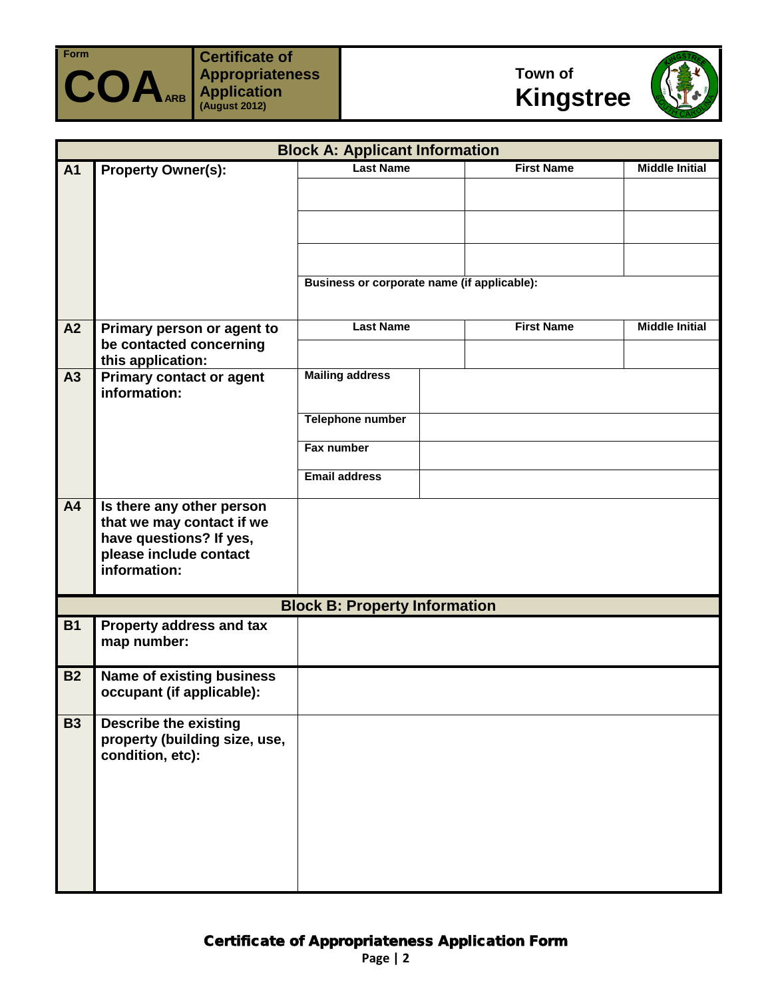





| <b>Block A: Applicant Information</b> |                                                                                                                             |                                             |                   |                       |
|---------------------------------------|-----------------------------------------------------------------------------------------------------------------------------|---------------------------------------------|-------------------|-----------------------|
| A <sub>1</sub>                        | <b>Property Owner(s):</b>                                                                                                   | <b>Last Name</b>                            | <b>First Name</b> | <b>Middle Initial</b> |
|                                       |                                                                                                                             |                                             |                   |                       |
|                                       |                                                                                                                             |                                             |                   |                       |
|                                       |                                                                                                                             |                                             |                   |                       |
|                                       |                                                                                                                             |                                             |                   |                       |
|                                       |                                                                                                                             | Business or corporate name (if applicable): |                   |                       |
| A2                                    | Primary person or agent to                                                                                                  | <b>Last Name</b>                            | <b>First Name</b> | <b>Middle Initial</b> |
|                                       | be contacted concerning<br>this application:                                                                                |                                             |                   |                       |
| A3                                    | <b>Primary contact or agent</b><br>information:                                                                             | <b>Mailing address</b>                      |                   |                       |
|                                       |                                                                                                                             | <b>Telephone number</b>                     |                   |                       |
|                                       |                                                                                                                             | Fax number                                  |                   |                       |
|                                       |                                                                                                                             | <b>Email address</b>                        |                   |                       |
| $\overline{A4}$                       | Is there any other person<br>that we may contact if we<br>have questions? If yes,<br>please include contact<br>information: |                                             |                   |                       |
|                                       |                                                                                                                             | <b>Block B: Property Information</b>        |                   |                       |
| <b>B1</b>                             | Property address and tax<br>map number:                                                                                     |                                             |                   |                       |
| <b>B2</b>                             | <b>Name of existing business</b><br>occupant (if applicable):                                                               |                                             |                   |                       |
| $\overline{B3}$                       | <b>Describe the existing</b><br>property (building size, use,<br>condition, etc):                                           |                                             |                   |                       |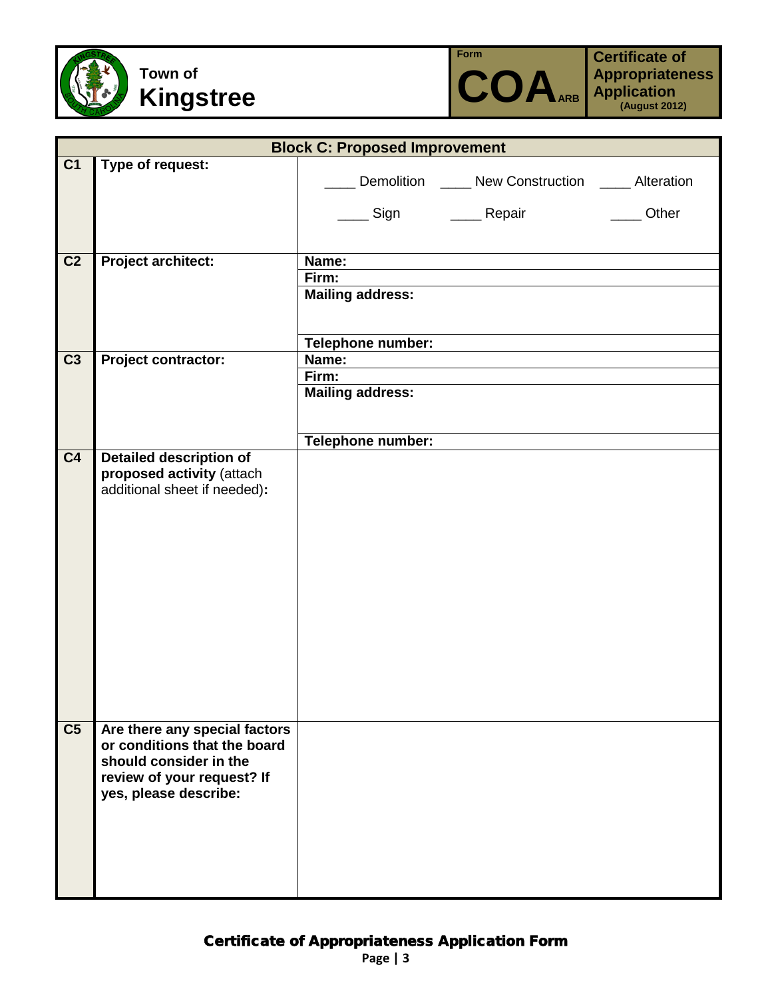



|                | <b>Block C: Proposed Improvement</b> |                                  |                                                      |       |
|----------------|--------------------------------------|----------------------------------|------------------------------------------------------|-------|
| C <sub>1</sub> | Type of request:                     |                                  |                                                      |       |
|                |                                      |                                  | Demolition ______ New Construction ______ Alteration |       |
|                |                                      |                                  | ___ Sign    ____ Repair                              | Other |
|                |                                      |                                  |                                                      |       |
|                |                                      |                                  |                                                      |       |
| C <sub>2</sub> | <b>Project architect:</b>            | Name:<br>Firm:                   |                                                      |       |
|                |                                      | <b>Mailing address:</b>          |                                                      |       |
|                |                                      |                                  |                                                      |       |
|                |                                      |                                  |                                                      |       |
|                |                                      | <b>Telephone number:</b>         |                                                      |       |
| C <sub>3</sub> | Project contractor:                  | Name:                            |                                                      |       |
|                |                                      | Firm:<br><b>Mailing address:</b> |                                                      |       |
|                |                                      |                                  |                                                      |       |
|                |                                      |                                  |                                                      |       |
|                |                                      | Telephone number:                |                                                      |       |
| C <sub>4</sub> | <b>Detailed description of</b>       |                                  |                                                      |       |
|                | proposed activity (attach            |                                  |                                                      |       |
|                | additional sheet if needed):         |                                  |                                                      |       |
|                |                                      |                                  |                                                      |       |
|                |                                      |                                  |                                                      |       |
|                |                                      |                                  |                                                      |       |
|                |                                      |                                  |                                                      |       |
|                |                                      |                                  |                                                      |       |
|                |                                      |                                  |                                                      |       |
|                |                                      |                                  |                                                      |       |
|                |                                      |                                  |                                                      |       |
|                |                                      |                                  |                                                      |       |
|                |                                      |                                  |                                                      |       |
|                |                                      |                                  |                                                      |       |
| C <sub>5</sub> | Are there any special factors        |                                  |                                                      |       |
|                | or conditions that the board         |                                  |                                                      |       |
|                | should consider in the               |                                  |                                                      |       |
|                | review of your request? If           |                                  |                                                      |       |
|                | yes, please describe:                |                                  |                                                      |       |
|                |                                      |                                  |                                                      |       |
|                |                                      |                                  |                                                      |       |
|                |                                      |                                  |                                                      |       |
|                |                                      |                                  |                                                      |       |
|                |                                      |                                  |                                                      |       |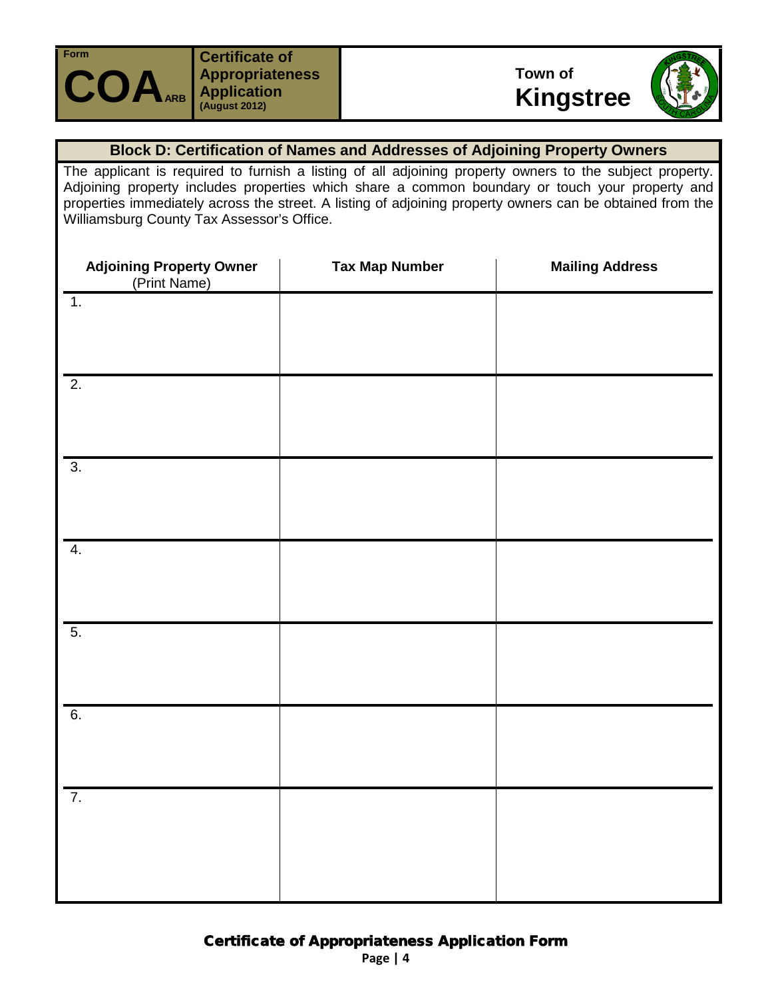





## **Block D: Certification of Names and Addresses of Adjoining Property Owners**

The applicant is required to furnish a listing of all adjoining property owners to the subject property. Adjoining property includes properties which share a common boundary or touch your property and properties immediately across the street. A listing of adjoining property owners can be obtained from the Williamsburg County Tax Assessor's Office.

| <b>Adjoining Property Owner</b><br>(Print Name) | <b>Tax Map Number</b> | <b>Mailing Address</b> |
|-------------------------------------------------|-----------------------|------------------------|
| $\overline{1}$ .                                |                       |                        |
| $\overline{2}$ .                                |                       |                        |
| $\overline{3}$ .                                |                       |                        |
| $\overline{4}$ .                                |                       |                        |
| $\overline{5}$ .                                |                       |                        |
| $\overline{6}$ .                                |                       |                        |
| $\overline{7}$ .                                |                       |                        |
|                                                 |                       |                        |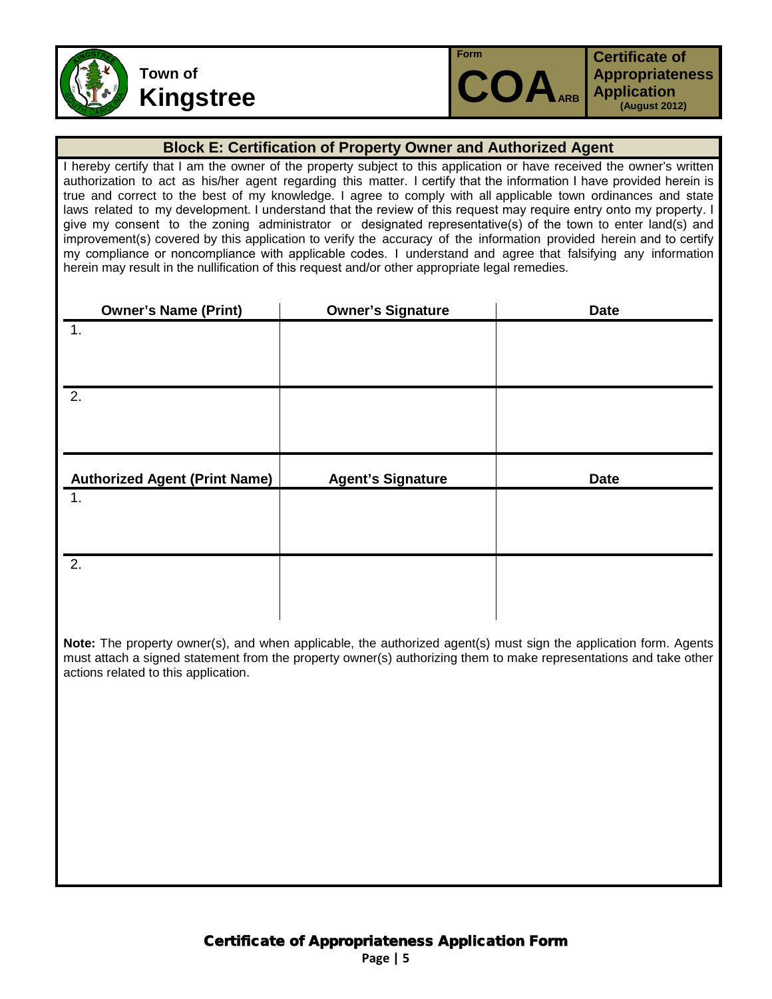



## **Block E: Certification of Property Owner and Authorized Agent**

I hereby certify that I am the owner of the property subject to this application or have received the owner's written authorization to act as his/her agent regarding this matter. I certify that the information I have provided herein is true and correct to the best of my knowledge. I agree to comply with all applicable town ordinances and state laws related to my development. I understand that the review of this request may require entry onto my property. I give my consent to the zoning administrator or designated representative(s) of the town to enter land(s) and improvement(s) covered by this application to verify the accuracy of the information provided herein and to certify my compliance or noncompliance with applicable codes. I understand and agree that falsifying any information herein may result in the nullification of this request and/or other appropriate legal remedies.

| <b>Owner's Name (Print)</b>          | <b>Owner's Signature</b> | <b>Date</b> |
|--------------------------------------|--------------------------|-------------|
| $\mathbf 1$ .                        |                          |             |
|                                      |                          |             |
|                                      |                          |             |
| 2.                                   |                          |             |
|                                      |                          |             |
|                                      |                          |             |
| <b>Authorized Agent (Print Name)</b> | <b>Agent's Signature</b> | <b>Date</b> |
| 1.                                   |                          |             |
|                                      |                          |             |
|                                      |                          |             |
| 2.                                   |                          |             |
|                                      |                          |             |
|                                      |                          |             |

**Note:** The property owner(s), and when applicable, the authorized agent(s) must sign the application form. Agents must attach a signed statement from the property owner(s) authorizing them to make representations and take other actions related to this application.